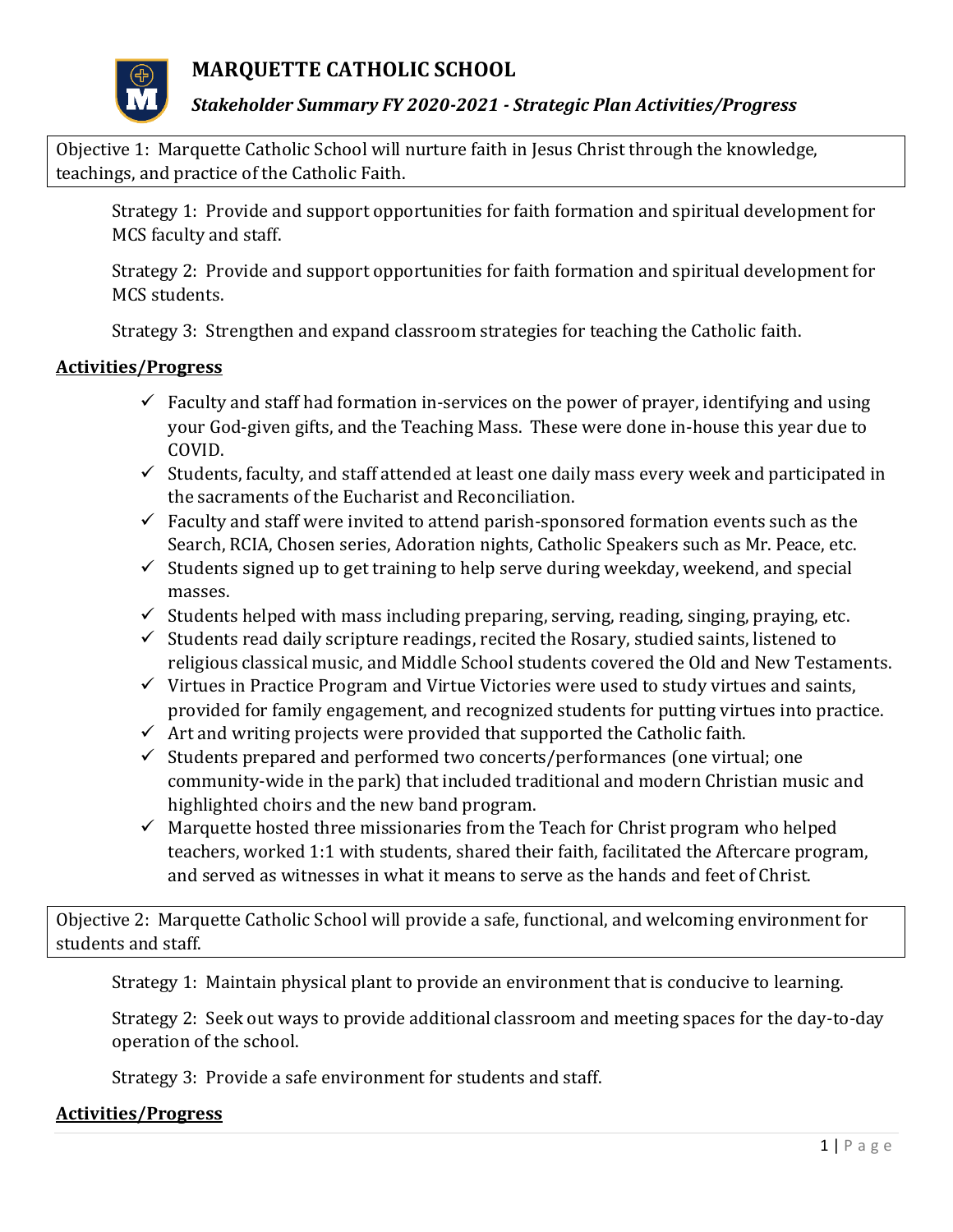

**MARQUETTE CATHOLIC SCHOOL**

## *Stakeholder Summary FY 2020-2021 - Strategic Plan Activities/Progress*

Objective 1: Marquette Catholic School will nurture faith in Jesus Christ through the knowledge, teachings, and practice of the Catholic Faith.

Strategy 1: Provide and support opportunities for faith formation and spiritual development for MCS faculty and staff.

Strategy 2: Provide and support opportunities for faith formation and spiritual development for MCS students.

Strategy 3: Strengthen and expand classroom strategies for teaching the Catholic faith.

#### **Activities/Progress**

- $\checkmark$  Faculty and staff had formation in-services on the power of prayer, identifying and using your God-given gifts, and the Teaching Mass. These were done in-house this year due to COVID.
- $\checkmark$  Students, faculty, and staff attended at least one daily mass every week and participated in the sacraments of the Eucharist and Reconciliation.
- $\checkmark$  Faculty and staff were invited to attend parish-sponsored formation events such as the Search, RCIA, Chosen series, Adoration nights, Catholic Speakers such as Mr. Peace, etc.
- $\checkmark$  Students signed up to get training to help serve during weekday, weekend, and special masses.
- $\checkmark$  Students helped with mass including preparing, serving, reading, singing, praying, etc.
- $\checkmark$  Students read daily scripture readings, recited the Rosary, studied saints, listened to religious classical music, and Middle School students covered the Old and New Testaments.
- $\checkmark$  Virtues in Practice Program and Virtue Victories were used to study virtues and saints, provided for family engagement, and recognized students for putting virtues into practice.
- $\checkmark$  Art and writing projects were provided that supported the Catholic faith.
- $\checkmark$  Students prepared and performed two concerts/performances (one virtual; one community-wide in the park) that included traditional and modern Christian music and highlighted choirs and the new band program.
- $\checkmark$  Marquette hosted three missionaries from the Teach for Christ program who helped teachers, worked 1:1 with students, shared their faith, facilitated the Aftercare program, and served as witnesses in what it means to serve as the hands and feet of Christ.

Objective 2: Marquette Catholic School will provide a safe, functional, and welcoming environment for students and staff.

Strategy 1: Maintain physical plant to provide an environment that is conducive to learning.

Strategy 2: Seek out ways to provide additional classroom and meeting spaces for the day-to-day operation of the school.

Strategy 3: Provide a safe environment for students and staff.

## **Activities/Progress**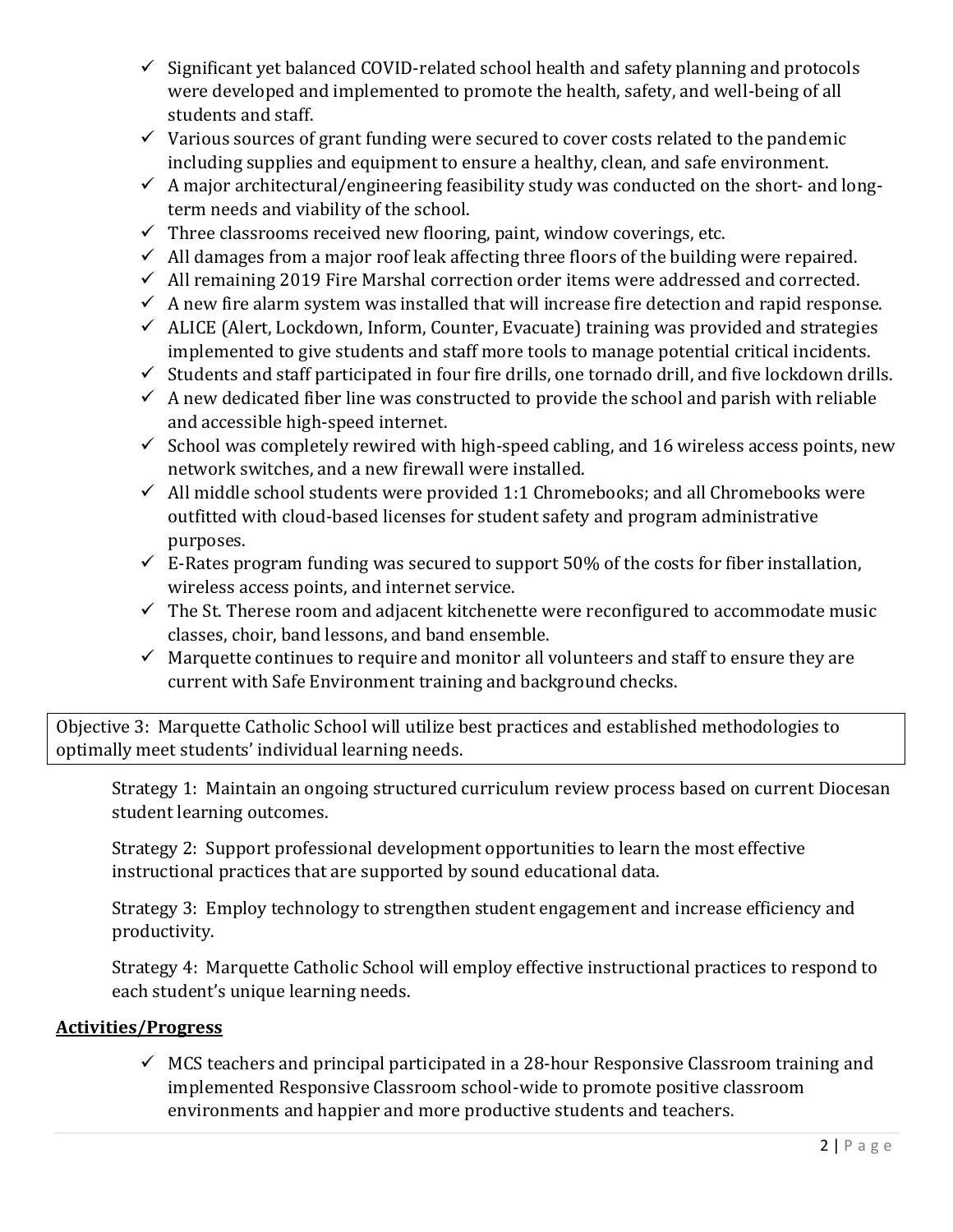- ✓ Significant yet balanced COVID-related school health and safety planning and protocols were developed and implemented to promote the health, safety, and well-being of all students and staff.
- $\checkmark$  Various sources of grant funding were secured to cover costs related to the pandemic including supplies and equipment to ensure a healthy, clean, and safe environment.
- $\checkmark$  A major architectural/engineering feasibility study was conducted on the short- and longterm needs and viability of the school.
- $\checkmark$  Three classrooms received new flooring, paint, window coverings, etc.
- $\checkmark$  All damages from a major roof leak affecting three floors of the building were repaired.
- $\checkmark$  All remaining 2019 Fire Marshal correction order items were addressed and corrected.
- $\checkmark$  A new fire alarm system was installed that will increase fire detection and rapid response.
- $\checkmark$  ALICE (Alert, Lockdown, Inform, Counter, Evacuate) training was provided and strategies implemented to give students and staff more tools to manage potential critical incidents.
- ✓ Students and staff participated in four fire drills, one tornado drill, and five lockdown drills.
- $\checkmark$  A new dedicated fiber line was constructed to provide the school and parish with reliable and accessible high-speed internet.
- $\checkmark$  School was completely rewired with high-speed cabling, and 16 wireless access points, new network switches, and a new firewall were installed.
- $\checkmark$  All middle school students were provided 1:1 Chromebooks; and all Chromebooks were outfitted with cloud-based licenses for student safety and program administrative purposes.
- $\checkmark$  E-Rates program funding was secured to support 50% of the costs for fiber installation, wireless access points, and internet service.
- $\checkmark$  The St. Therese room and adjacent kitchenette were reconfigured to accommodate music classes, choir, band lessons, and band ensemble.
- $\checkmark$  Marquette continues to require and monitor all volunteers and staff to ensure they are current with Safe Environment training and background checks.

Objective 3: Marquette Catholic School will utilize best practices and established methodologies to optimally meet students' individual learning needs.

Strategy 1: Maintain an ongoing structured curriculum review process based on current Diocesan student learning outcomes.

Strategy 2: Support professional development opportunities to learn the most effective instructional practices that are supported by sound educational data.

Strategy 3: Employ technology to strengthen student engagement and increase efficiency and productivity.

Strategy 4: Marquette Catholic School will employ effective instructional practices to respond to each student's unique learning needs.

## **Activities/Progress**

 $\checkmark$  MCS teachers and principal participated in a 28-hour Responsive Classroom training and implemented Responsive Classroom school-wide to promote positive classroom environments and happier and more productive students and teachers.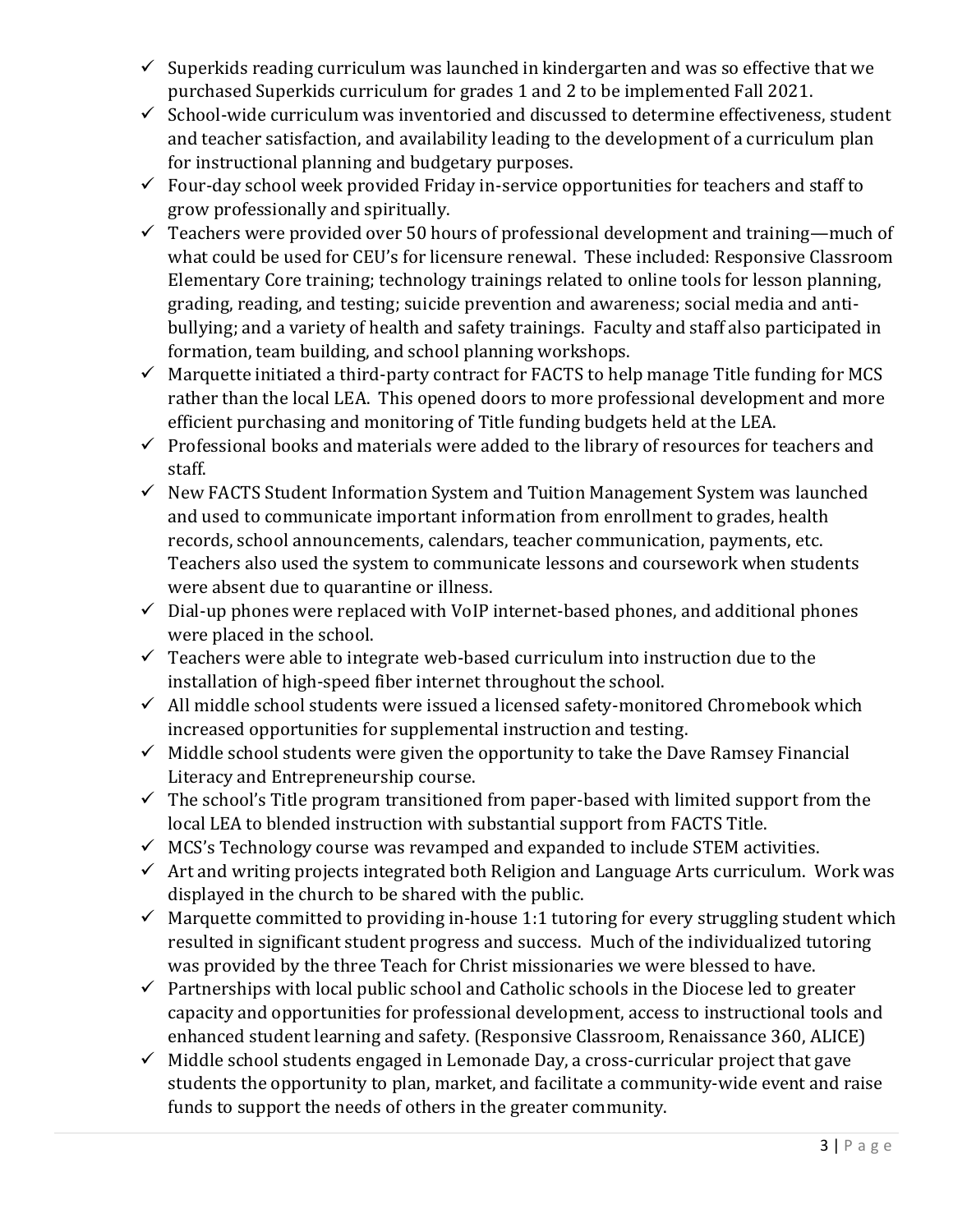- $\checkmark$  Superkids reading curriculum was launched in kindergarten and was so effective that we purchased Superkids curriculum for grades 1 and 2 to be implemented Fall 2021.
- ✓ School-wide curriculum was inventoried and discussed to determine effectiveness, student and teacher satisfaction, and availability leading to the development of a curriculum plan for instructional planning and budgetary purposes.
- $\checkmark$  Four-day school week provided Friday in-service opportunities for teachers and staff to grow professionally and spiritually.
- $\checkmark$  Teachers were provided over 50 hours of professional development and training—much of what could be used for CEU's for licensure renewal. These included: Responsive Classroom Elementary Core training; technology trainings related to online tools for lesson planning, grading, reading, and testing; suicide prevention and awareness; social media and antibullying; and a variety of health and safety trainings. Faculty and staff also participated in formation, team building, and school planning workshops.
- $\checkmark$  Marquette initiated a third-party contract for FACTS to help manage Title funding for MCS rather than the local LEA. This opened doors to more professional development and more efficient purchasing and monitoring of Title funding budgets held at the LEA.
- $\checkmark$  Professional books and materials were added to the library of resources for teachers and staff.
- ✓ New FACTS Student Information System and Tuition Management System was launched and used to communicate important information from enrollment to grades, health records, school announcements, calendars, teacher communication, payments, etc. Teachers also used the system to communicate lessons and coursework when students were absent due to quarantine or illness.
- $\checkmark$  Dial-up phones were replaced with VoIP internet-based phones, and additional phones were placed in the school.
- $\checkmark$  Teachers were able to integrate web-based curriculum into instruction due to the installation of high-speed fiber internet throughout the school.
- ✓ All middle school students were issued a licensed safety-monitored Chromebook which increased opportunities for supplemental instruction and testing.
- $\checkmark$  Middle school students were given the opportunity to take the Dave Ramsey Financial Literacy and Entrepreneurship course.
- $\checkmark$  The school's Title program transitioned from paper-based with limited support from the local LEA to blended instruction with substantial support from FACTS Title.
- $\checkmark$  MCS's Technology course was revamped and expanded to include STEM activities.
- $\checkmark$  Art and writing projects integrated both Religion and Language Arts curriculum. Work was displayed in the church to be shared with the public.
- $\checkmark$  Marquette committed to providing in-house 1:1 tutoring for every struggling student which resulted in significant student progress and success. Much of the individualized tutoring was provided by the three Teach for Christ missionaries we were blessed to have.
- $\checkmark$  Partnerships with local public school and Catholic schools in the Diocese led to greater capacity and opportunities for professional development, access to instructional tools and enhanced student learning and safety. (Responsive Classroom, Renaissance 360, ALICE)
- $\checkmark$  Middle school students engaged in Lemonade Day, a cross-curricular project that gave students the opportunity to plan, market, and facilitate a community-wide event and raise funds to support the needs of others in the greater community.